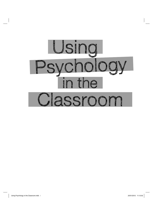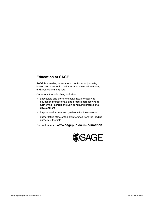### **Education at SAGE**

**SAGE** is a leading international publisher of journals, books, and electronic media for academic, educational, and professional markets.

Our education publishing includes:

- accessible and comprehensive texts for aspiring  $\bullet$ education professionals and practitioners looking to further their careers through continuing professional development
- inspirational advice and guidance for the classroom  $\bullet$
- authoritative state of the art reference from the leading  $\bullet$ authors in the field

Find out more at: www.sagepub.co.uk/education

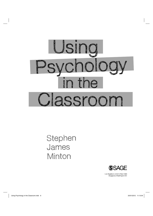

# Stephen James Minton



Los Angeles | London | New Delhi<br>Singapore | Washington DC

Using Psychology in the Classroom.indb iii sing 20/01/2012 11:13:04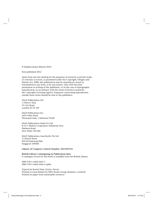© Stephen James Minton 2012

First published 2012

Apart from any fair dealing for the purposes of research or private study, or criticism or review, as permitted under the Copyright, Designs and Patents Act, 1988, this publication may be reproduced, stored or transmitted in any form, or by any means, only with the prior permission in writing of the publishers, or in the case of reprographic reproduction, in accordance with the terms of licences issued by the Copyright Licensing Agency. Enquiries concerning reproduction outside those terms should be sent to the publishers.

SAGE Publications Ltd 1 Oliver's Yard 55 City Road London EC1Y 1SP

SAGE Publications Inc. 2455 Teller Road Thousand Oaks, California 91320

SAGE Publications India Pvt Ltd B 1/I 1 Mohan Cooperative Industrial Area Mathura Road New Delhi 110 044

SAGE Publications Asia-Pacific Pte Ltd 3 Church Street #10-04 Samsung Hub Singapore 049483

#### **Library of Congress Control Number: 2011933714**

**British Library Cataloguing in Publication data** A catalogue record for this book is available from the British Library

ISBN 978-1-4462-0165-7 ISBN 978-1-4462-0166-4 (pbk)

Typeset by Kestrel Data, Exeter, Devon Printed in Great Britain by MPG Books Group, Bodmin, Cornwall Printed on paper from sustainable resources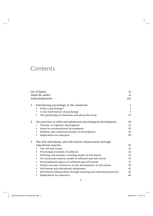## **Contents**

| List of figures |                                                                                | ix             |
|-----------------|--------------------------------------------------------------------------------|----------------|
|                 | About the author<br>Acknowledgements                                           |                |
|                 |                                                                                |                |
| $\mathbf{1}$    | Introducing psychology in the classroom                                        | 1              |
|                 | What is psychology?<br>$\bullet$                                               | $\mathbf{1}$   |
|                 | A very brief history of psychology<br>$\bullet$                                | $\overline{7}$ |
|                 | The psychology of education and about this book<br>٠                           | 11             |
| 2               | An overview of child and adolescent psychological development                  | 14             |
|                 | Theories of cognitive development<br>٠                                         | 14             |
|                 | Issues in socioemotional development<br>$\bullet$                              | 20             |
|                 | Systemic and contextual models of development<br>٠                             | 26             |
|                 | Implications for educators<br>$\bullet$                                        | 28             |
| 3               | The self, self-esteem, and self-esteem enhancement through                     |                |
|                 | educational practice                                                           | 31             |
|                 | The self and society<br>$\bullet$                                              | 31             |
|                 | Psychological models of selfhood<br>٠                                          | 32             |
|                 | Defining and towards a working model of self-esteem<br>٠                       | 33             |
|                 | An existential-analytic model of selfhood and self-esteem<br>٠                 | 34             |
|                 | Developmental aspects of selfhood and self-esteem<br>٠                         | 37             |
|                 | Family and peer influences on the development of self-esteem<br>$\bullet$      | 39             |
|                 | Self-esteem and educational attainment<br>$\bullet$                            | 41             |
|                 | Self-esteem enhancement through teaching and educational practice<br>$\bullet$ | 42             |
|                 | Implications for educators<br>$\bullet$                                        | 44             |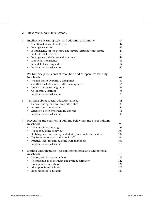| $\overline{4}$ | Intelligence, learning styles and educational attainment                    | 47  |
|----------------|-----------------------------------------------------------------------------|-----|
|                | Traditional views of intelligence                                           | 47  |
|                | Intelligence testing<br>$\bullet$                                           | 48  |
|                | Is intelligence 'in the genes'? The 'nature versus nurture' debate<br>٠     | 49  |
|                | Multiple intelligences<br>٠                                                 | 52  |
|                | Intelligence and educational attainment<br>$\bullet$                        | 54  |
|                | Emotional intelligence<br>$\bullet$                                         | 56  |
|                | A model of learning styles<br>$\bullet$                                     | 57  |
|                | Implications for educators<br>$\bullet$                                     | 60  |
| 5              | Positive discipline, conflict resolution and co-operative learning          |     |
|                | in schools                                                                  | 64  |
|                | What is meant by positive discipline?                                       | 64  |
|                | Conflict resolution and conflict management                                 | 66  |
|                | Understanding social groups<br>$\bullet$                                    | 69  |
|                | Co-operative learning<br>$\bullet$                                          | 75  |
|                | Implications for educators<br>$\bullet$                                     | 79  |
| 6              | Thinking about special educational needs                                    | 81  |
|                | General and specific learning difficulties<br>$\bullet$                     | 82  |
|                | Autistic spectrum disorders<br>$\bullet$                                    | 87  |
|                | Attention deficit hyperactivity disorder<br>$\bullet$                       | 91  |
|                | Implications for educators                                                  | 95  |
| $\overline{7}$ | Preventing and countering bullying behaviour and cyber-bullying             |     |
|                | in schools                                                                  | 98  |
|                | What is school bullying?<br>$\bullet$                                       | 98  |
|                | Types of bullying behaviour<br>$\bullet$                                    | 100 |
|                | Bullying behaviour and cyber-bullying in schools: the evidence<br>$\bullet$ | 102 |
|                | Key issues for schools and school staff                                     | 104 |
|                | Practical ideas for anti-bullying work in schools<br>$\bullet$              | 106 |
|                | Implications for educators<br>$\bullet$                                     | 113 |
| 8              | Dealing with prejudice – racism, homophobia and alterophobia                |     |
|                | in schools                                                                  | 116 |
|                | Racism, ethnic bias and schools<br>$\bullet$                                | 117 |
|                | The psychology of prejudice and attitude formation<br>٠                     | 122 |
|                | Homophobia and schools<br>$\bullet$                                         | 124 |
|                | Alterophobia and schools                                                    | 128 |
|                | Implications for educators<br>٠                                             | 130 |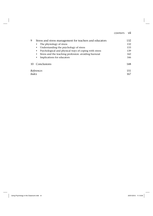#### CONTENTS vii

| 9          | Stress and stress management for teachers and educators            | 132 |
|------------|--------------------------------------------------------------------|-----|
|            | The physiology of stress<br>$\bullet$                              | 132 |
|            | Understanding the psychology of stress<br>$\bullet$                | 133 |
|            | Psychological and physical ways of coping with stress<br>$\bullet$ | 139 |
|            | Stress and the teaching profession: avoiding burnout<br>$\bullet$  | 142 |
|            | Implications for educators<br>٠                                    | 146 |
|            | 10 Conclusions                                                     | 148 |
| References |                                                                    | 151 |
| Index      |                                                                    | 167 |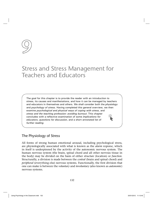## Stress and Stress Management for Teachers and Educators

The goal for this chapter is to provide the reader with an introduction to stress, its causes and manifestations, and how it can be managed by teachers and educators in themselves and others. We shall consider both the *physiology*  and *psychology of stress*. Having completed this general overview, we then examine *psychological and physical ways of coping with stress*, and *stress and the teaching profession: avoiding burnout*. This chapter concludes with a reflective examination of some *implications for educators*, *questions for discussion*, and a short annotated list of *further reading.*

## The Physiology of Stress

All forms of strong human emotional arousal, including psychological stress, are physiologically associated with what is known as the *alarm response*, which in itself is underpinned by the activity of the autonomic nervous system. The human nervous system (the brain, spinal chord and all other nervous tissue in the body) may be divided on the basis of either *structure* (location) or *function*. Structurally, a division is made between the *central* (brain and spinal chord) and *peripheral* (everything else) nervous systems. Functionally, the first division that one can make is between the *voluntary* and *involuntary* (also known as *autonomic*) nervous systems.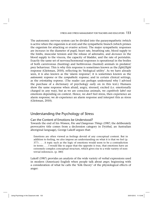The autonomic nervous system can be divided into the parasympathetic (which is active when the organism is at rest) and the sympathetic branch (which primes the organism for attacking or evasive action). The major sympathetic responses are *increases* in the diameter of pupil, heart rate, breathing rate, blood supply to the limbs, muscular tension and the release of adrenalin, and *decreases* in the blood supply to the viscera, the capacity of bladder, and the rate of peristalsis. Exactly the same set of nervous/hormonal responses is operational in the bodies of both carnivorous (hunting) and herbivorous (hunted) animals in predator/ prey behaviour. This is why this response is sometimes known as the *fight*/*flight*  response (Gleitman, 2010), reflecting its 'biological utility'. As we have already seen, it is also known as the 'alarm response'; it is sometimes known as the *autonomic response* or the *sympathetic response*; and in certain clinical settings, as the *orientating response*. (The reader can perhaps understand why I advised the purchase of a dictionary of psychology early on in this text.) Humans show the same response when afraid, angry, stressed, excited (i.e. emotionally charged in any way), but as we are conscious animals, we *cognitively label* our emotions depending on context. Hence, we *don't* feel stress, then experience an alarm response; we *do* experience an alarm response and interpret this as stress (Gleitman, 2010).

## Understanding the Psychology of Stress

#### Can the Content of Emotions be Understood?

Towards the end of his *Women, Fire and Dangerous Things* (1987; the deliberately provocative title comes from a declension category in Dyirbal, an Australian aboriginal language), George Lakoff argues that:

Emotions are often viewed as feelings devoid of any conceptual content. But in addition to feeling, we also impose an understanding on what it is that we feel (p. 377) . . . A topic such as the logic of emotions would seem to be a contradiction in terms . . . I would like to argue that the opposite is true, that emotions have an extremely complex conceptual structure, which gives rise to a wide variety of nontrivial inferences. (p. 380)

Lakoff (1987) provides an analysis of the wide variety of verbal expressions used in modern (American) English when people talk about *anger*, beginning with a consideration of what he calls the 'folk theory' of the physiological effects of anger: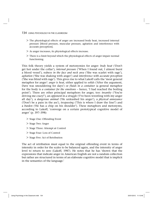- > The physiological effects of anger are increased body heat, increased internal pressure [blood pressure, muscular pressure, agitation and interference with accurate perception].
- > As anger increases, its physiological effects increase.
- > There is a limit beyond which the physiological effects of anger impair normal functioning.

This folk theory yields a system of metonymies for anger: *body heat* ('Don't get hot under the collar'), *internal pressure* ('When I found out, I almost burst a blood vessel'), *redness in the face and neck area* ('She was scarlet with rage'), *agitation* ('She was shaking with anger') and *interference with accurate perception* ('She was blind with rage'). This gives rise to what Lakoff calls the 'most general metaphor for anger': *anger is heat*, either applied to *solids* ('After the argument, Dave was smouldering for days') or *fluids in a container* (a general metaphor for the body is *a container for the emotions* – hence, 'I had reached the boiling point'). There are other principal metaphors for anger, too: *insanity* ('You're driving me crazy!'), an *opponent in a struggle* ('I've been wrestling with my anger all day'), a *dangerous animal* ('He unleashed his anger'), a *physical annoyance* ('Don't be a pain in the ass'), *trespassing* ('This is where I draw the line!') and a *burden* ('He has a chip on his shoulder'). These metaphors and metonyms, according to Lakoff, 'converge on a certain prototypical cognitive model of anger' (p. 397–398):

- > Stage One: Offending Event
- > Stage Two: Anger
- > Stage Three: Attempt at Control
- > Stage Four: Loss of Control
- > Stage Five: Act of Retribution

The act of retribution must equal to the original offending event in terms of intensity in order for the scales to be balanced again, and the intensity of anger level to return to zero (Lakoff, 1987). He notes that he has 'shown that the expressions that indicate anger in American English are not a random collection but rather are structured in terms of an elaborate cognitive model that is implicit in the semantics of the language.'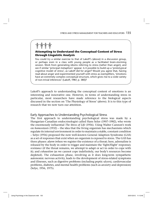# abab

#### **Attempting to Understand the Conceptual Content of Stress through Linguistic Analysis**

You could try a similar exercise to that of Lakoff's (above) in a discussion group, or perhaps even in a class with young people as a facilitated brain-storming session. Work from generating idioms referring to stress (rather than anger), and see if similar 'principal metaphors' appear. Is it possible to build up a 'prototypical cognitive model of stress', as Lakoff did for anger? Would you agree that, having read about anger and experimented yourself with stress as exemplifiers, 'emotions have an extremely complex conceptual structure, which gives rise to a wide variety of non-trivial inferences' (Lakoff, 1987, p. 380)?

Lakoff's approach to understanding the conceptual content of emotions is an interesting and innovative one. However, in terms of understanding stress in particular, most researchers have made reference to the biological aspects discussed in the section on 'The Physiology of Stress' (above). It is to this type of research that we now turn our attention.

#### Early Approaches to Understanding Psychological Stress

The first approach to understanding psychological stress was made by a Hungarian-Canadian endocrinologist called Hans Selye (1907–1982), who wrote the enormously influential *The Stress of Life* (1956). Using Walter Cannon's work on *homeostasis* (1932) – the idea that the living organism has mechanisms which regulate its internal environment in order to maintain a stable, constant condition – Selye (1956) proposed the now well-known General Adaption Syndrome (GAS) as a set of responses that exist when an organism is exposed to stress. The GAS has three phases: *alarm* (when we register the existence of a threat; here, adrenaline is released by the body in order to trigger and maintain the 'fight/flight' response); *resistance* (if the threat remains, we attempt to adapt or act in order to cope with it); and *exhaustion* (as we cannot cope indefinitely, our body's resources become depleted). The exhaustion phase, involving as it does long-term sympathetic autonomic nervous activity, leads to the development of stress-related symptoms and illnesses, such as digestive problems (including peptic ulcers), cardiovascular problems, diabetes, and mental health problems (such as anxiety and depression) (Selye, 1956, 1975).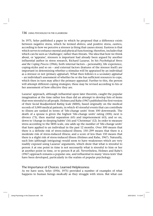In 1975, Selye published a paper in which he proposed that a difference exists between negative stress, which he termed *distress*, and positive stress, *eustress*, according to how we perceive a stressor (a thing that causes stress). Eustress is that which serves to enhance mental and physical functioning; therefore, includes that which can be seen as 'challenges', rather than threats. The idea that how we think about, or 'appraise', stressors is important had already been argued by another influential author in stress research, Richard Lazarus. In his *Psychological Stress and the Coping Process* (1966), both internal factors – personality, life experience, coping-styles and so on – and external factors (features of the stressor itself) are important in determining whether a stimulus will be appraised by an individual as a stressor or not (*primary appraisal*). What then follows is a *secondary appraisal* – an individual's assessment of whether he or she has sufficient resources to cope, which then in turn may affect the primary appraisal. Further to this, the person will attempt different coping strategies; these may be revised according to his or her assessment of how effective they are.

Lazarus' approach, although influential upon later theorists, caught the popular imagination at the time rather less than did an attempt to develop lists of items that were stressful to *all* people. Holmes and Rahe (1967) published the first version of their *Social Readjustment Rating Scale* (SRRS), based originally on the medical records of 5,000 medical patients, in which 43 stressful events that can contribute to illness are ranked in terms of 'life-change units' from 100 downwards. The death of a spouse is given the highest 'life-change units' rating (100); next is divorce (73), then marital separation (65) and imprisonment (63), and so on, down to 'change in sleeping habits' (16) and 'Christmas' (12). In order to measure stress according to the SRSS scale, one adds up the number of 'life-change units' that have applied to an individual in the past 12 months. Over 300 means that there is a definite risk of stress-induced illness; 150–299 means that there is a moderate risk of stress-induced illness; and a score of less than 150 means that there is a slight risk of stress-induced illness (Holmes and Rahe, 1967). Naturally, such lists (although intriguing) would seem to have weaknesses which are very readily exposed using Lazarus' arguments, which show that what is stressful to person A at one point in time is not necessarily what is stressful to him or her at another point in time, or to person B at all. Nevertheless, Holmes and Rahe's (1967) approach remains a popular one, and influential in many 'stress tests' that have been developed, particularly in the realms of popular psychology.

#### The Importance of Choices: Learned Helplessness

As we have seen, Selye (1956, 1975) provided a number of examples of what happens to human beings *medically* as they struggle with stress. But what can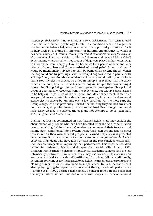#### STRESS AND STRESS MANAGEMENT FOR TEACHERS AND EDUCATORS 137

happen *psychologically*? One example is *learned helplessness*. This term is used in animal and human psychology to refer to a condition where an organism has learned to behave helplessly, even when the opportunity is restored for it to help itself by avoiding an unpleasant or harmful circumstance to which it has been subjected. It results from a perceived *absence of control over the outcome of a situation.* The theory dates to Martin Seligman and Steven Maier's (1967) experiments, where initially three groups of dogs were placed in harnesses. Dogs in Group One were simply put in the harnesses for a period of time and later released. Groups Two and Three consisted of 'yoked pairs'. A dog in Group 2 would be intentionally subjected to pain by being given electric shocks, which the dog could end by pressing a lever. A Group 3 dog was wired in parallel with a Group 2 dog, receiving shocks of identical intensity and duration, but his lever didn't stop the electric shocks. To a dog in Group 3, it seemed that the shock ended at random, because it was his paired dog in Group 2 that was causing it to stop. For Group 3 dogs, the shock was apparently 'inescapable'. Group 1 and Group 2 dogs quickly recovered from the experience, but Group 3 dogs learned to be helpless. In part two of the Seligman and Maier experiment, these three groups of dogs were tested in a shuttle-box apparatus, in which the dogs could escape electric shocks by jumping over a low partition. For the most part, the Group 3 dogs, who had previously 'learned' that nothing they did had any effect on the shocks, simply lay down passively and whined. Even though they could have easily escaped the shocks, the dogs did not attempt to do so (Seligman, 1975; Seligman and Maier, 1967).

Gleitman (2010) has commented on how 'learned helplessness' may explain the phenomenon of prisoners who had been liberated from the Nazi concentration camps remaining 'behind the wire', unable to comprehend their freedom, and having been conditioned into a system where their own actions had no effect whatsoever on their own survival prospects. Learned helplessness is presented here, because it can also account for *poor motivation* amongst *vulnerable children at school.* Individuals who have failed at tasks in the past conclude erroneously that they are incapable of improving their performance. This might set children behind in academic subjects and dampen their social skills (Stipek, 1988). Children with learned helplessness typically fail academic subjects, and are less intrinsically motivated than others. They may use learned helplessness as an excuse or a shield to provide self-justification for school failure. Additionally, describing someone as having learned to be helpless can serve as a reason to avoid blaming him or her for the inconveniences experienced. In turn, the student will give up trying to gain respect or advancement through academic performance (Ramirez et al. 1992). Learned helplessness, a concept rooted in the belief that the way in which we are rewarded or otherwise shapes our behaviour, could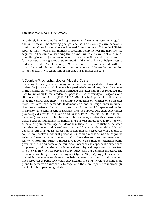accordingly be combated by making positive reinforcements absolutely regular, and in the mean time showing great patience as the previously learnt behaviour diminishes. One of those who was liberated from Auschwitz, Primo Levi (1996), reported that it took many months of freedom before he lost the habit he had acquired in the camp of scanning the ground immediately in front of him for 'something' – any object of use or value. By extension, it may take many months for an emotionally neglected or traumatised child who has learned helplessness to understand that in *this* classroom, in *this* environment, his or her efforts will win him or her credit, but only the consistent experience of the teacher reinforcing his or her efforts will teach him or her that this is in fact the case.

#### A Cognitive/Psychophysiological Model of Stress

Psychologists have generated many models of psychological stress. I would like to describe just one, which I believe is a particularly useful one, given the course of the material this chapter, and in particular the latter half. It was produced and used by two of my former academic supervisors, the University of Glasgow's John Hinton and Richard Burton (1992, 1997, 2001a). The basic principle of this model is, at the centre, that there is a cognitive evaluation of whether one possesses more resources than demands*.* If demands on one outweigh one's resources, then one experiences the incapacity to cope – known as 'PCI' (perceived coping incapacity), and reminiscent of Lazarus, 1966, see above. One then experiences psychological stress (or, as Hinton and Burton, 1992, 1997, 2001a, 2001b term it, 'psystress'). Perceived coping incapacity is, of course, a subjective measure that varies between individuals. In Hinton and Burton's model (1992, 1997) as well as balancing 'resources' against 'demands', there are differentiations between 'perceived resources' and 'actual resources', and 'perceived demands' and 'actual demands'. An individual's perception of demands and resources will depend, of course, on people's individual personalities, coping mechanisms and cognitive styles, and may be quite different to what those demands and resources are in reality. Hinton and Burton's model (1992, 1997) also includes attention being given over to the outcome of perceiving an incapacity to cope, or the experience of 'pystress', and how these psychological and physical responses to stress feed into the way in which we perceive our resources and our demands in future. The process is essentially self-accelerating (as Selye's GAS (1956) suggests; see above); one might perceive one's demands as being greater than they actually are, and one's resources as being fewer than they actually are, and therefore become more prone to perceive an incapacity to cope, and therefore experience increasingly greater levels of psychological stress.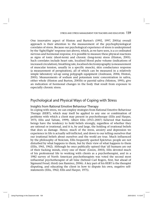#### STRESS AND STRESS MANAGEMENT FOR TEACHERS AND EDUCATORS 139

One innovative aspect of Hinton and Burton's (1992, 1997, 2001a) overall approach is their attention to the measurement of the psychophysiological correlates of stress. Because our psychological experience of stress is underpinned by the 'fight/flight' response (see above), which, as we have seen, is a co-ordinated nervous and hormonal response, it is possible to measure these physical reactions as signs of tonic (short-term) and chronic (long-term) stress (Hinton, 2001). Such correlates include heart rate, localised blood pulse volume (indications of increased circulation), breathing rate, localised electromyography (a measurement of muscular tension, usually in a specific muscle), skin conductance response (a measurement of perspiration), all of which can be measured in a relatively simple laboratory set-up using polygraph equipment (Andreassi, 2006; Hinton, 2001). Measurements of sodium and potassium ionic concentration in saliva, either whole (Hinton and Burton, 2001b) or parotid saliva (Minton, 1995), give an indication of hormonal changes in the body that result from exposure to especially chronic stress.

#### Psychological and Physical Ways of Coping with Stress

#### Insights from Rational Emotive Behaviour Therapy

In coping with stress, we can employ strategies from Rational Emotive Behaviour Therapy (REBT), which may itself be applied to any one or combination of problems with which a client may present in psychotherapy (Ellis and Harper, 1975; Ellis and Tafrate, 1999). Albert Ellis (1913–2007) believed that human beings have the tendency to hold beliefs strongly, regardless of whether they are rational or irrational, and it is, by and large, the holding of irrational beliefs that does us damage. Hence, much of the stress, anxiety and depression we experience in life is actually self-inflicted, and down to our telling ourselves that our irrational beliefs about ourselves and the world are true. Much influenced by the philosophy of Stoicism, Ellis frequently quoted Epictetus: people are not disturbed by what happens to them, but by their view of what happens to them (Ellis, 1961, 1962). Although he once publically opined that 'all humans are out of their fucking minds, every one of them' (Green, 2003), Ellis devoted much of his professional life to working with clients as a psychotherapist, and in a 1982 survey of North American psychotherapists was voted the second most influential psychotherapist of all time (behind Carl Rogers, first, but ahead of Sigmund Freud, third) (see Ramirez, 2006). A key part of his REBT is the therapist disputing, and educating the client in how to dispute his own, negative selfstatements (Ellis, 1962; Ellis and Harper, 1975).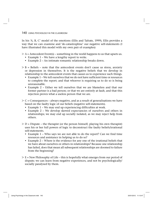In his 'A, B, C' model of the emotions (Ellis and Tafrate, 1999), Ellis provides a way that we can examine and 'de-catastrophise' our negative self-statements (I have illustrated this model with my own pair of examples):

- $> A =$  Antecedent Event(s) something in the world happens to us that upsets us. • Example 1 – We have a lengthy report to write.
	- Example 2 An intimate romantic relationship breaks down.
- $>$  B = Beliefs note that the antecedent events don't cause us stress, anxiety or depression in themselves. It is the negative beliefs that we develop in relationship to the antecedent events that causes us to experience such things.
	- Example 1 We tell ourselves that we do not have sufficient time or resources to complete the report; and that whoever is requiring us to do so is being unreasonable.
	- Example 2 Either we tell ourselves that we are blameless and that our former partner is a bad person; or that we are entirely at fault, and that this rejection proves what a useless person that we are.
- $> C =$  Consequences always negative, and as a result of generalisations we have based on the faulty logic of our beliefs (negative self-statements).
	- Example 1 We may end up experiencing difficulties at work.
	- Example 2 We develop skewed expectancies of ourselves and others in relationships; we may end up socially isolated, as we may reject help from others.
- $> D =$  Dispute the therapist (or the person himself, playing his own therapist) uses his or her full powers of logic to deconstruct the faulty beliefs/irrational self-statements.
	- Example 1 Who says we are not able to do the report? Can we find time resources and assistance in helping us to do so?
	- Example 2 Where is the evidence for any one of the irrational beliefs that we have about ourselves or others in relationships? Because one relationship has failed, does that mean all subsequent relationships are doomed to failure from the beginning?
- $> E =$  New Philosophy of Life this is hopefully what emerges from our period of dispute; we can learn from negative experiences, and not be psychologically/ socially paralysed by them.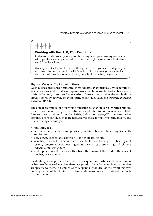# abab

#### **Working with the 'A, B, C' of Emotions**

In discussion with colleagues if possible, or maybe on your own, try to come up with hypothetical examples of realistic issues that might cause stress in (i) students' and (ii) teachers' lives.

Working in pairs if possible, or as a thought exercise if you are working on your own, role-play how you could use Ellis's 'A, B, C' of Emotions approach, as outlined above, in order to address some of the hypothetical issues that you generated.

#### Physical Ways of Coping with Stress

We may also consider using physical methods of relaxation; because we cognitively label emotions, and the alarm response works on homeostatic biofeedback loops, if left unchecked, stress is self-accelerating. However, we can slow the whole alarm process down by actively relaxing using techniques such as *progressive muscular relaxation* (PMR).

The actual technique of progressive muscular relaxation is really rather simple, which is one reason why it is continually replicated in commercially available formats – for a while, from the 1990s, 'relaxation tapes/CDs' became rather popular. The techniques that are narrated via these formats typically involve the listener being encouraged to:

#### > physically relax

- > become aware, mentally and physically, of his or her own breathing, its depth and its rate
- > slow down, deepen and control his or her breathing rate
- > visualise, in some form or another, muscular tension leaving his or her physical system, sometimes by performing physical exercises of stretching and relaxing individual muscle groups
- > work up or down the body either from the crown of the head to the soles of the feet, or vice versa.

Incidentally, some primary teachers of my acquaintance who use these or similar techniques have told me that there are physical benefits to such activities that are specific to them, in as much as they spend a good deal of their working lives putting their adult bodies into furniture and classroom spaces designed for much smaller frames.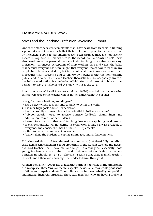#### Stress and the Teaching Profession: Avoiding Burnout

One of the more persistent complaints that I have heard from teachers in training – pre-service and in-service – is that their profession is perceived as an easy one by the general public. It has sometimes even been assumed that, as a non-teacher, I share this opinion. Let me say here for the record that I certainly do not! I have also heard numerous personal theories of why teaching is perceived as an 'easy' profession – erroneous perceptions of short working days and years; the belief that because everyone has been taught, that everyone knows how to teach (many people have been operated on, but few would claim to know more about such procedures than surgeons); and so on. My own belief is that the non-teaching public (and to some extent even teachers themselves) is not adequately aware of precisely *why* education is a profession of high stress and burnout. It is now time, perhaps, to cast a 'psychological eye' on why this is the case.

In terms of *burnout*, Heidi Ahonen-Eerikäinen (2002) asserted that the following things were true of the teacher who is in the 'danger zone'. He or she:

- > is 'gifted, conscientious, and diligent'
- > has a career which is 'a personal crusade to better the world'
- > has very high goals and self-expectations
- > has 'incorrectly estimated his or her potential to influence matters'
- > 'sub-consciously hopes to receive positive feedback, thankfulness and admiration from his or her students'
- > 'cannot face the truth that good teaching does not always bring good results'
- > is 'over-responsible, will not define his or her work limits, is always available to everyone, and considers himself or herself irreplaceable'
- > 'offers to carry the burdens of colleagues'
- > 'carries alone the burdens of coping, saving face and all-knowingness'.

If I skim-read this list, I feel alarmed because many (but thankfully not all) of these items seem evident in a good proportion of the student teachers and newlyqualified teachers that I have met and taught in recent years, especially those young teachers who are trying to work their way into achieving permanent positions in schools. Yet, as a psychologist, I realise that there is much truth in this list, and I therefore encourage the reader to think through it.

Ahonen-Eerikäinen (2002) also argued that burnout is tangible in the atmosphere of a workplace; these 'environmental aspects' include an almost contagious sense of fatigue and despair, and a staffroom climate that is characterised by competition and internal hierarchy struggles. Those staff members who are having problems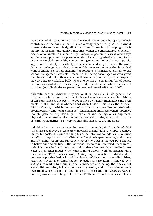#### STRESS AND STRESS MANAGEMENT FOR TEACHERS AND EDUCATORS 143

may be belittled, teased in a non-good natured way, or outright rejected, which contributes to the anxiety that they are already experiencing. When burnout threatens the entire staff body, all of their strength goes into just coping – this is manifested in long, disorganised meetings, which are characterised by lengthy discussion of unrelated matters; a high turnover of personnel, excessive sick days and increased pressures for permanent staff. Hence, organisational 'symptoms' of burnout include unhealthy competition; games and politics between people; aggression, irritability, inflexibility, dissatisfaction and vengefulness; as the group dynamics no longer work, due to non-confidence in each other, either individual work is emphasise, or responsibility for solutions is transferred entirely to the school management level; staff members not being encouraged or even given the chance to develop themselves. Furthermore, a poor workplace atmosphere may give rise to workplace bullying as one person or a small number of people become scapegoated – he, she or they get bullied and blamed whilst the rest feel that they (as individuals) are performing well (Ahonen-Eerikäinen, 2002).

Naturally, burnout (whether organisational or individual in its genesis) has effects on the individual, too. These individual symptoms include a diminishing of self-confidence as one begins to doubt one's own skills, intelligence and even mental health; and what Ahonen-Eerikäinen (2002) refers to as the *Teachers' Warrior Neurosis*, in which symptoms of post-traumatic stress disorder take hold – psychologically, emotional exhaustion, tension, irritability, passiveness, obsessive thought patterns, depression, guilt, cynicism and feelings of estrangement; physically, hypertension, ulcers, migraines, general malaise, aches and pains, use of 'calming medicines' (e.g. sleeping pills) and substance use and abuse.

Individual burnout can be traced in stages; in one model, similar to Selye's GAS (1956, also see above), a *warning stage*, in which the individual attempts to achieve impossible goals, thus over-exerting his or her physical boundaries, is followed by a *distress stage*, in which all of his or her free time is spent working, and fatigue and irritability set in; the subsequent *exhaustion stage* is marked by a change in behaviour and attitude – the individual becomes uninterested, mechanical, inflexible, detached and negative, and students become depersonalised (just 'cases'). In another model, which calls to mind Lakoff's work on understanding the emotions (1987, also see above), a *heating stage*, in which the individual does not receive positive feedback, and the glamour of the chosen career diminishes, resulting in feelings of dissatisfaction, rejection and isolation, is followed by a *boiling stage*, marked by diminished self-confidence, and feelings that one cannot accomplish anything, helplessness, meaninglessness, and the doubting of one's own intelligence, capabilities and choice of careers; the final *explosion stage* is one of giving up – a feeling that 'I've had it!' The individual becomes absolutely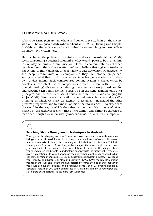robotic, releasing pressures anywhere, and comes to see students as 'the enemy' who must be conquered daily (Ahonen-Eerikäinen, 2002). Having read Chapter 3 of this text, the reader can perhaps imagine the long-reaching knock-on effects on student self-esteem here.

Having charted the problems so carefully, what does Ahonen-Eerikäinen (2002) see as constituting a potential solution? The key would appear to be in attending to everyday patterns of communication. Blocks to communication exist when people refuse to think about matters, refuse to believe that a given situation is happening, or think along the lines of 'This will take care of itself'. Consequently, such people's communication is compromised; they filter information, perhaps saying only what they think the other wants to hear, or are selective in their own understanding. Such compromised communication is characterised by doubletalk, consistent use of comparisons (which interfere with listening), 'thought-reading', advice-giving, refusing to try out new ideas (instead, arguing and debating each point), having to always be 'in the right', hanging onto one's principles, and the consistent use of double-bind statements and changing the subject (2002). Genuine communication is marked instead by *active* and *empathic* listening, in which we make an attempt to accurately understand the other person's perspective, and to 'tune in' on his or her 'wavelength' – to experience the world in the way in which the other person does. *Direct communication* – marked by the acknowledgement that others cannot, and cannot be expected to read one's thoughts, or automatically understand us, is also extremely important.

#### **Teaching Stress Management Techniques to Students**

Throughout this chapter, we have focused on how stress affects us with reference being made mostly to adults, and in particular the educational professional. However, teachers may wish to teach stress management techniques to students. Think (if working alone) or discuss (if working with colleagues) how you might do this; how you might adjust, for example, the presentation of models in this chapter. Few younger children will be able to understand or appreciate the 'fight/flight' response as an explanation as to what happens in the body when emotionally charged; what concepts or metaphors could you use as substitute explanatory devices? How could you simplify, or substitute, Hinton and Burton's (1992, 1997) model? How might you teach the REBT and PMR techniques referred towards the end of this chapter? If you could achieve these things, and if you have contact at all with young people in a pastoral role, then you could perhaps teach stress management to young people, say, before exam periods – it could be very welcome!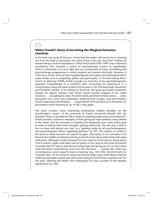#### **Viktor Frankl's Story of Surviving the Illogical Extremes (Austria)**

In the final case study of this text, I hope that the reader will excuse me in drawing not from the field of education, but rather from a true life story that I believe all human beings can find inspiration in. Viktor Emil Frankl (1905–1997) was a Viennese psychiatrist who founded a school of psychotherapy known as *logotherapy*, which is influential in its own right and as a component of many counselling and psychotherapy programmes in which students are trained eclectically. However, it is the story of how some of these logotherapeutic principles were formulated which made Frankl such a compelling author and personality. In his best-selling *Man's Search for Meaning* (1959), Frankl provides an overview of his psychotherapeutic approach ('logotherapy in a nutshell') after recounting his experiences in a concentration camp (he spent a total of three years in the Theresienstadt, Auschwitz and Türkheim camps). In his preface to the book, the great personality researcher Gordon W. Allport explains that Frankl 'found himself stripped to his naked existence . . . excepting his sister, his entire family perished in these camps . . . every possession lost, every value destroyed, suffering from hunger, cold and brutality, hourly expecting extermination . . . a psychiatrist who has faced such extremity is a psychiatrist worth listening to' (p. 9–10). I fully agree.

The book contains many interesting professional insights (notably, on the psychological 'career' of the prisoner), as Frankl concerned himself with the question 'How is it possible for life to retain its meaning under such circumstances?'. Frankl provides numerous examples of how giving up hope underlay many deaths in the camp, and the necessity of showing the despairing men some future goal in order to restore their inner strength; quoting Nietzsche, 'He who has a why to live can bear with almost any how' as a 'guiding motto for all psychotherapeutic and psychohygienic efforts regarding prisoners' (p. 97). This reaches its zenith in the book as Frankl recounts the speech he gave, reluctantly, to his comrades in his block in the middle of a blackout during a period of starvation enforced by the camp authorities. Although Frankl estimated his own chances at this time as being about 'one in twenty' (given that there was no typhus in the camp at the time), he told his comrades that he 'had no intention of losing hope and giving up. For no man knew what the future would bring, much less the next hour . . . human life, under any circumstances, never ceases to have a meaning' (pp. 103–104). He told them of a comrade who, 'on his arrival in camp had tried to make a pact with Heaven that his suffering and death should save the human being he loved from a painful end. For this man, suffering and death were meaningful; his was a sacrifice of the deepest significance' (p. 105).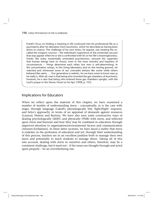Frankl's focus on finding a meaning in life continued into his professional life as a psychiatrist after his liberation from Auschwitz, which he described as having been down to chance. The challenge of his own times, he argued, was treating the socalled the *noögenic neurosis* – the individual's experience of the existential vacuum that may appear when he or she is confronted with his or her life's meaninglessness. Frankl, like many existentially orientated practitioners, stressed the capacities that human beings have to *choose*, even in the most stressful and hopeless of circumstances – '*things* determine each other, but *man* is self-determining. In the concentration camps, in this living laboratory and on this testing ground, we watched and witnessed some of our comrades behave like swine while others behaved like saints . . . Our generation is realistic, for we have come to know man as he really is. After all, man is that being who invented the gas chambers of Auschwitz; however, he is also that being who entered those gas chambers upright, with the Lord's prayer or the *Shema Yisrael* on his lips' (1959, p. 157).

### Implications for Educators

When we reflect upon the material of this chapter, we have examined a number of models of understanding stress – conceptually, as is the case with anger, through language (Lakoff); physiologically (the 'fight/flight' response, and Selye's approach); in terms of an appraisal of demands against resources (Lazarus; Hinton and Burton). We have also seen some constructive ways of dealing psychologically (REBT) and physically (PMR) with stress, and reflected upon stress and burnout and how they may be combated in education through improved attention to organisation/environmental factors and communication (Ahonen-Eerikäinen). In these latter sections, we have faced a reality that stress is endemic in the profession of education and yet, through their understanding of this process, teachers are in an excellent position both to manage their own stress and potentially to teach students to manage theirs. Taking all of this into account, dealing with stress in ourselves and others, therefore, may be a consistent challenge, but it need not – if the issues are thought through and acted upon properly – be an overwhelming one.